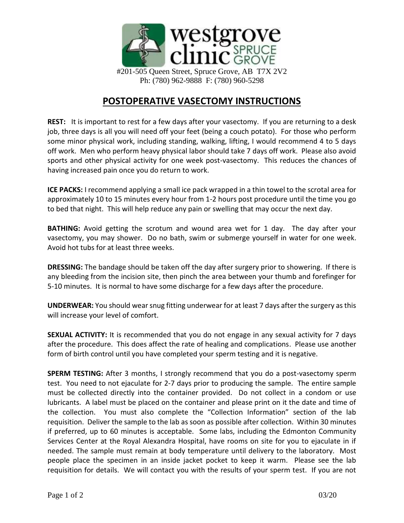

## **POSTOPERATIVE VASECTOMY INSTRUCTIONS**

**REST:** It is important to rest for a few days after your vasectomy. If you are returning to a desk job, three days is all you will need off your feet (being a couch potato). For those who perform some minor physical work, including standing, walking, lifting, I would recommend 4 to 5 days off work. Men who perform heavy physical labor should take 7 days off work. Please also avoid sports and other physical activity for one week post-vasectomy. This reduces the chances of having increased pain once you do return to work.

**ICE PACKS:** I recommend applying a small ice pack wrapped in a thin towel to the scrotal area for approximately 10 to 15 minutes every hour from 1-2 hours post procedure until the time you go to bed that night. This will help reduce any pain or swelling that may occur the next day.

**BATHING:** Avoid getting the scrotum and wound area wet for 1 day. The day after your vasectomy, you may shower. Do no bath, swim or submerge yourself in water for one week. Avoid hot tubs for at least three weeks.

**DRESSING:** The bandage should be taken off the day after surgery prior to showering. If there is any bleeding from the incision site, then pinch the area between your thumb and forefinger for 5-10 minutes. It is normal to have some discharge for a few days after the procedure.

**UNDERWEAR:** You should wear snug fitting underwear for at least 7 days after the surgery as this will increase your level of comfort.

**SEXUAL ACTIVITY:** It is recommended that you do not engage in any sexual activity for 7 days after the procedure. This does affect the rate of healing and complications. Please use another form of birth control until you have completed your sperm testing and it is negative.

**SPERM TESTING:** After 3 months, I strongly recommend that you do a post-vasectomy sperm test. You need to not ejaculate for 2-7 days prior to producing the sample. The entire sample must be collected directly into the container provided. Do not collect in a condom or use lubricants. A label must be placed on the container and please print on it the date and time of the collection. You must also complete the "Collection Information" section of the lab requisition. Deliver the sample to the lab as soon as possible after collection. Within 30 minutes if preferred, up to 60 minutes is acceptable. Some labs, including the Edmonton Community Services Center at the Royal Alexandra Hospital, have rooms on site for you to ejaculate in if needed. The sample must remain at body temperature until delivery to the laboratory. Most people place the specimen in an inside jacket pocket to keep it warm. Please see the lab requisition for details. We will contact you with the results of your sperm test. If you are not